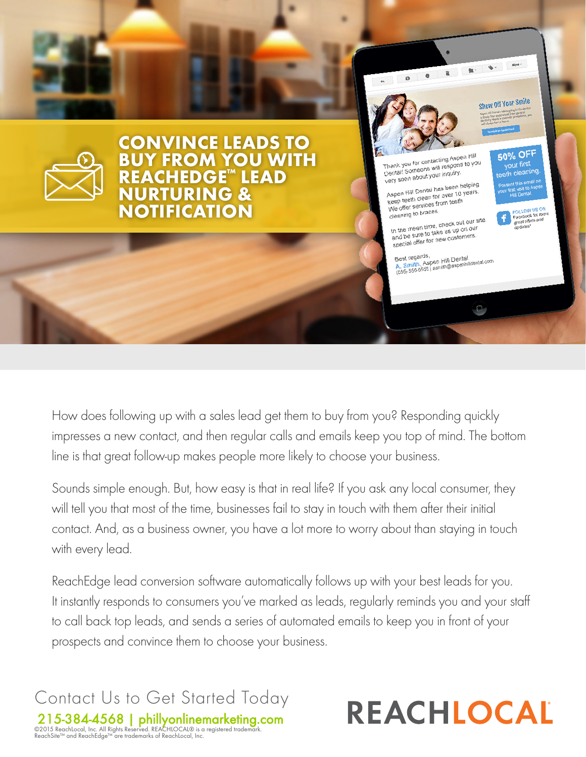

How does following up with a sales lead get them to buy from you? Responding quickly impresses a new contact, and then regular calls and emails keep you top of mind. The bottom line is that great follow-up makes people more likely to choose your business.

Sounds simple enough. But, how easy is that in real life? If you ask any local consumer, they will tell you that most of the time, businesses fail to stay in touch with them after their initial contact. And, as a business owner, you have a lot more to worry about than staying in touch with every lead.

ReachEdge lead conversion software automatically follows up with your best leads for you. It instantly responds to consumers you've marked as leads, regularly reminds you and your staff to call back top leads, and sends a series of automated emails to keep you in front of your prospects and convince them to choose your business.

Contact Us to Get Started Today 215-384-4568 | [phillyonlinemarketing.com](http://www.phillyonlinemarketing.com) ©2015 ReachLocal, Inc. All Rights Reserved. REACHLOCAL® is a registered trademark. ReachSite™ and ReachEdge™ are trademarks of ReachLocal, Inc.

# REACHLOCAL